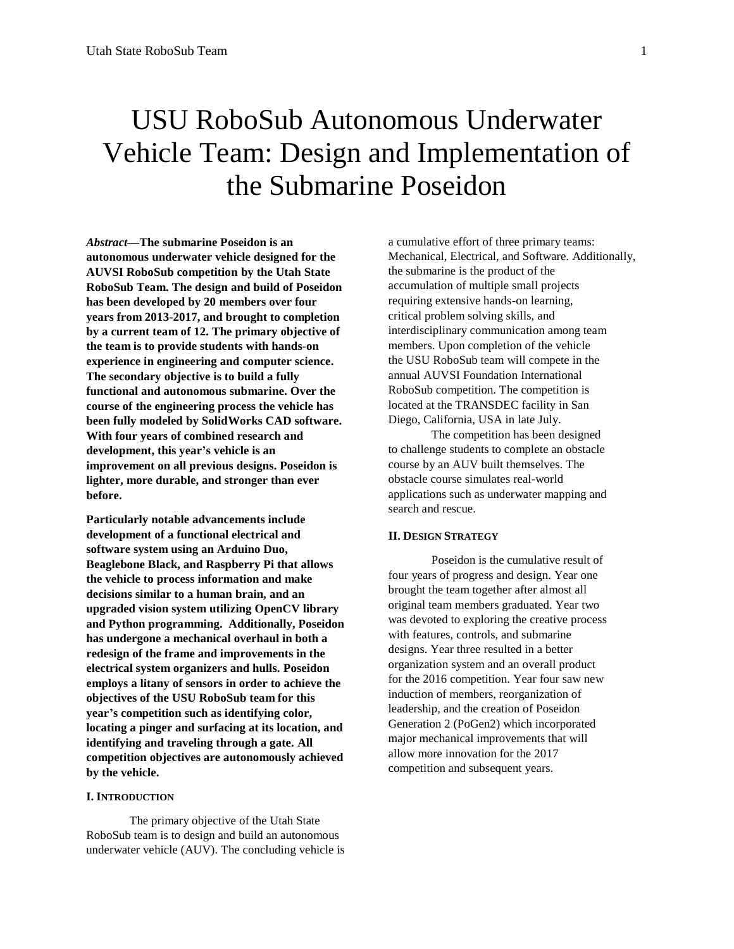# USU RoboSub Autonomous Underwater Vehicle Team: Design and Implementation of the Submarine Poseidon

*Abstract—***The submarine Poseidon is an autonomous underwater vehicle designed for the AUVSI RoboSub competition by the Utah State RoboSub Team. The design and build of Poseidon has been developed by 20 members over four years from 2013-2017, and brought to completion by a current team of 12. The primary objective of the team is to provide students with hands-on experience in engineering and computer science. The secondary objective is to build a fully functional and autonomous submarine. Over the course of the engineering process the vehicle has been fully modeled by SolidWorks CAD software. With four years of combined research and development, this year's vehicle is an improvement on all previous designs. Poseidon is lighter, more durable, and stronger than ever before.**

**Particularly notable advancements include development of a functional electrical and software system using an Arduino Duo, Beaglebone Black, and Raspberry Pi that allows the vehicle to process information and make decisions similar to a human brain, and an upgraded vision system utilizing OpenCV library and Python programming. Additionally, Poseidon has undergone a mechanical overhaul in both a redesign of the frame and improvements in the electrical system organizers and hulls. Poseidon employs a litany of sensors in order to achieve the objectives of the USU RoboSub team for this year's competition such as identifying color, locating a pinger and surfacing at its location, and identifying and traveling through a gate. All competition objectives are autonomously achieved by the vehicle.**

#### **I. INTRODUCTION**

The primary objective of the Utah State RoboSub team is to design and build an autonomous underwater vehicle (AUV). The concluding vehicle is a cumulative effort of three primary teams: Mechanical, Electrical, and Software. Additionally, the submarine is the product of the accumulation of multiple small projects requiring extensive hands-on learning, critical problem solving skills, and interdisciplinary communication among team members. Upon completion of the vehicle the USU RoboSub team will compete in the annual AUVSI Foundation International RoboSub competition. The competition is located at the TRANSDEC facility in San Diego, California, USA in late July.

The competition has been designed to challenge students to complete an obstacle course by an AUV built themselves. The obstacle course simulates real-world applications such as underwater mapping and search and rescue.

## **II. DESIGN STRATEGY**

Poseidon is the cumulative result of four years of progress and design. Year one brought the team together after almost all original team members graduated. Year two was devoted to exploring the creative process with features, controls, and submarine designs. Year three resulted in a better organization system and an overall product for the 2016 competition. Year four saw new induction of members, reorganization of leadership, and the creation of Poseidon Generation 2 (PoGen2) which incorporated major mechanical improvements that will allow more innovation for the 2017 competition and subsequent years.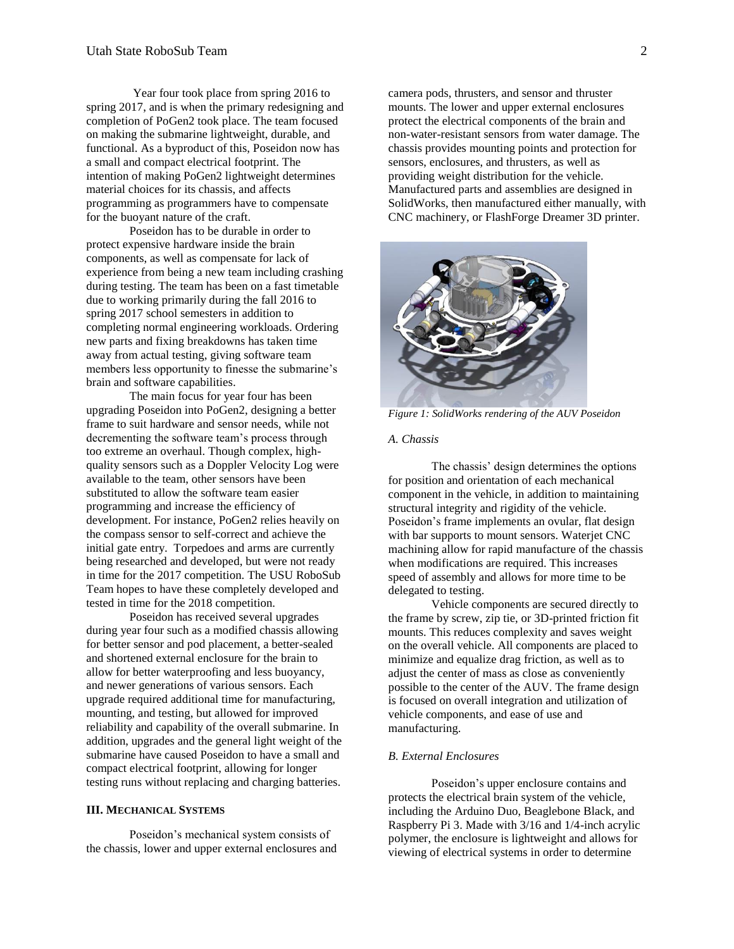Year four took place from spring 2016 to spring 2017, and is when the primary redesigning and completion of PoGen2 took place. The team focused on making the submarine lightweight, durable, and functional. As a byproduct of this, Poseidon now has a small and compact electrical footprint. The intention of making PoGen2 lightweight determines material choices for its chassis, and affects programming as programmers have to compensate for the buoyant nature of the craft.

Poseidon has to be durable in order to protect expensive hardware inside the brain components, as well as compensate for lack of experience from being a new team including crashing during testing. The team has been on a fast timetable due to working primarily during the fall 2016 to spring 2017 school semesters in addition to completing normal engineering workloads. Ordering new parts and fixing breakdowns has taken time away from actual testing, giving software team members less opportunity to finesse the submarine's brain and software capabilities.

The main focus for year four has been upgrading Poseidon into PoGen2, designing a better frame to suit hardware and sensor needs, while not decrementing the software team's process through too extreme an overhaul. Though complex, highquality sensors such as a Doppler Velocity Log were available to the team, other sensors have been substituted to allow the software team easier programming and increase the efficiency of development. For instance, PoGen2 relies heavily on the compass sensor to self-correct and achieve the initial gate entry. Torpedoes and arms are currently being researched and developed, but were not ready in time for the 2017 competition. The USU RoboSub Team hopes to have these completely developed and tested in time for the 2018 competition.

Poseidon has received several upgrades during year four such as a modified chassis allowing for better sensor and pod placement, a better-sealed and shortened external enclosure for the brain to allow for better waterproofing and less buoyancy, and newer generations of various sensors. Each upgrade required additional time for manufacturing, mounting, and testing, but allowed for improved reliability and capability of the overall submarine. In addition, upgrades and the general light weight of the submarine have caused Poseidon to have a small and compact electrical footprint, allowing for longer testing runs without replacing and charging batteries.

## **III. MECHANICAL SYSTEMS**

Poseidon's mechanical system consists of the chassis, lower and upper external enclosures and camera pods, thrusters, and sensor and thruster mounts. The lower and upper external enclosures protect the electrical components of the brain and non-water-resistant sensors from water damage. The chassis provides mounting points and protection for sensors, enclosures, and thrusters, as well as providing weight distribution for the vehicle. Manufactured parts and assemblies are designed in SolidWorks, then manufactured either manually, with CNC machinery, or FlashForge Dreamer 3D printer.



*Figure 1: SolidWorks rendering of the AUV Poseidon* 

#### *A. Chassis*

The chassis' design determines the options for position and orientation of each mechanical component in the vehicle, in addition to maintaining structural integrity and rigidity of the vehicle. Poseidon's frame implements an ovular, flat design with bar supports to mount sensors. Waterjet CNC machining allow for rapid manufacture of the chassis when modifications are required. This increases speed of assembly and allows for more time to be delegated to testing.

Vehicle components are secured directly to the frame by screw, zip tie, or 3D-printed friction fit mounts. This reduces complexity and saves weight on the overall vehicle. All components are placed to minimize and equalize drag friction, as well as to adjust the center of mass as close as conveniently possible to the center of the AUV. The frame design is focused on overall integration and utilization of vehicle components, and ease of use and manufacturing.

#### *B. External Enclosures*

Poseidon's upper enclosure contains and protects the electrical brain system of the vehicle, including the Arduino Duo, Beaglebone Black, and Raspberry Pi 3. Made with 3/16 and 1/4-inch acrylic polymer, the enclosure is lightweight and allows for viewing of electrical systems in order to determine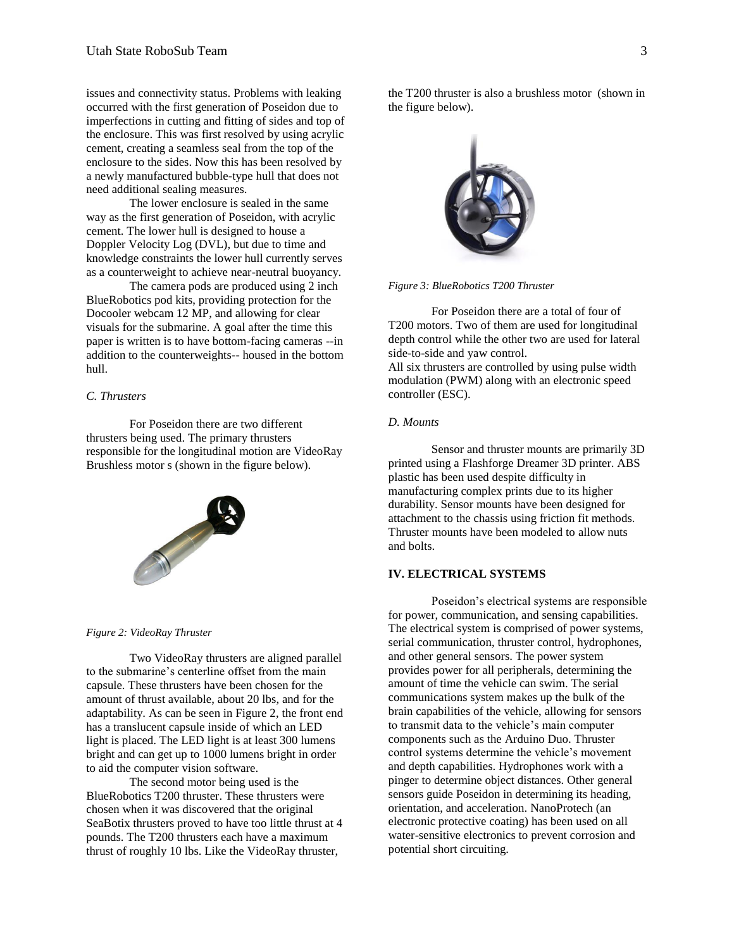issues and connectivity status. Problems with leaking occurred with the first generation of Poseidon due to imperfections in cutting and fitting of sides and top of the enclosure. This was first resolved by using acrylic cement, creating a seamless seal from the top of the enclosure to the sides. Now this has been resolved by a newly manufactured bubble-type hull that does not need additional sealing measures.

The lower enclosure is sealed in the same way as the first generation of Poseidon, with acrylic cement. The lower hull is designed to house a Doppler Velocity Log (DVL), but due to time and knowledge constraints the lower hull currently serves as a counterweight to achieve near-neutral buoyancy.

The camera pods are produced using 2 inch BlueRobotics pod kits, providing protection for the Docooler webcam 12 MP, and allowing for clear visuals for the submarine. A goal after the time this paper is written is to have bottom-facing cameras --in addition to the counterweights-- housed in the bottom hull.

## *C. Thrusters*

For Poseidon there are two different thrusters being used. The primary thrusters responsible for the longitudinal motion are VideoRay Brushless motor s (shown in the figure below).



#### *Figure 2: VideoRay Thruster*

Two VideoRay thrusters are aligned parallel to the submarine's centerline offset from the main capsule. These thrusters have been chosen for the amount of thrust available, about 20 lbs, and for the adaptability. As can be seen in Figure 2, the front end has a translucent capsule inside of which an LED light is placed. The LED light is at least 300 lumens bright and can get up to 1000 lumens bright in order to aid the computer vision software.

The second motor being used is the BlueRobotics T200 thruster. These thrusters were chosen when it was discovered that the original SeaBotix thrusters proved to have too little thrust at 4 pounds. The T200 thrusters each have a maximum thrust of roughly 10 lbs. Like the VideoRay thruster,

the T200 thruster is also a brushless motor (shown in the figure below).



*Figure 3: BlueRobotics T200 Thruster* 

For Poseidon there are a total of four of T200 motors. Two of them are used for longitudinal depth control while the other two are used for lateral side-to-side and yaw control. All six thrusters are controlled by using pulse width modulation (PWM) along with an electronic speed controller (ESC).

# *D. Mounts*

Sensor and thruster mounts are primarily 3D printed using a Flashforge Dreamer 3D printer. ABS plastic has been used despite difficulty in manufacturing complex prints due to its higher durability. Sensor mounts have been designed for attachment to the chassis using friction fit methods. Thruster mounts have been modeled to allow nuts and bolts.

## **IV. ELECTRICAL SYSTEMS**

Poseidon's electrical systems are responsible for power, communication, and sensing capabilities. The electrical system is comprised of power systems, serial communication, thruster control, hydrophones, and other general sensors. The power system provides power for all peripherals, determining the amount of time the vehicle can swim. The serial communications system makes up the bulk of the brain capabilities of the vehicle, allowing for sensors to transmit data to the vehicle's main computer components such as the Arduino Duo. Thruster control systems determine the vehicle's movement and depth capabilities. Hydrophones work with a pinger to determine object distances. Other general sensors guide Poseidon in determining its heading, orientation, and acceleration. NanoProtech (an electronic protective coating) has been used on all water-sensitive electronics to prevent corrosion and potential short circuiting.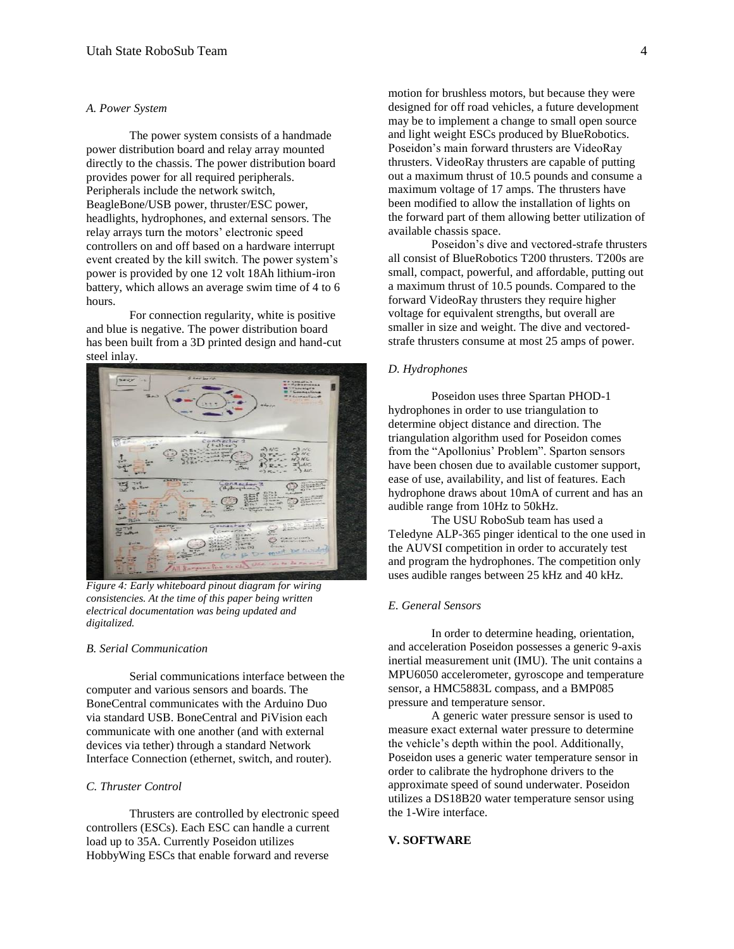#### *A. Power System*

The power system consists of a handmade power distribution board and relay array mounted directly to the chassis. The power distribution board provides power for all required peripherals. Peripherals include the network switch, BeagleBone/USB power, thruster/ESC power, headlights, hydrophones, and external sensors. The relay arrays turn the motors' electronic speed controllers on and off based on a hardware interrupt event created by the kill switch. The power system's power is provided by one 12 volt 18Ah lithium-iron battery, which allows an average swim time of 4 to 6 hours.

For connection regularity, white is positive and blue is negative. The power distribution board has been built from a 3D printed design and hand-cut steel inlay.



*Figure 4: Early whiteboard pinout diagram for wiring consistencies. At the time of this paper being written electrical documentation was being updated and digitalized.*

#### *B. Serial Communication*

Serial communications interface between the computer and various sensors and boards. The BoneCentral communicates with the Arduino Duo via standard USB. BoneCentral and PiVision each communicate with one another (and with external devices via tether) through a standard Network Interface Connection (ethernet, switch, and router).

#### *C. Thruster Control*

Thrusters are controlled by electronic speed controllers (ESCs). Each ESC can handle a current load up to 35A. Currently Poseidon utilizes HobbyWing ESCs that enable forward and reverse

motion for brushless motors, but because they were designed for off road vehicles, a future development may be to implement a change to small open source and light weight ESCs produced by BlueRobotics. Poseidon's main forward thrusters are VideoRay thrusters. VideoRay thrusters are capable of putting out a maximum thrust of 10.5 pounds and consume a maximum voltage of 17 amps. The thrusters have been modified to allow the installation of lights on the forward part of them allowing better utilization of available chassis space.

Poseidon's dive and vectored-strafe thrusters all consist of BlueRobotics T200 thrusters. T200s are small, compact, powerful, and affordable, putting out a maximum thrust of 10.5 pounds. Compared to the forward VideoRay thrusters they require higher voltage for equivalent strengths, but overall are smaller in size and weight. The dive and vectoredstrafe thrusters consume at most 25 amps of power.

#### *D. Hydrophones*

Poseidon uses three Spartan PHOD-1 hydrophones in order to use triangulation to determine object distance and direction. The triangulation algorithm used for Poseidon comes from the "Apollonius' Problem". Sparton sensors have been chosen due to available customer support, ease of use, availability, and list of features. Each hydrophone draws about 10mA of current and has an audible range from 10Hz to 50kHz.

The USU RoboSub team has used a Teledyne ALP-365 pinger identical to the one used in the AUVSI competition in order to accurately test and program the hydrophones. The competition only uses audible ranges between 25 kHz and 40 kHz.

## *E. General Sensors*

In order to determine heading, orientation, and acceleration Poseidon possesses a generic 9-axis inertial measurement unit (IMU). The unit contains a MPU6050 accelerometer, gyroscope and temperature sensor, a HMC5883L compass, and a BMP085 pressure and temperature sensor.

A generic water pressure sensor is used to measure exact external water pressure to determine the vehicle's depth within the pool. Additionally, Poseidon uses a generic water temperature sensor in order to calibrate the hydrophone drivers to the approximate speed of sound underwater. Poseidon utilizes a DS18B20 water temperature sensor using the 1-Wire interface.

## **V. SOFTWARE**